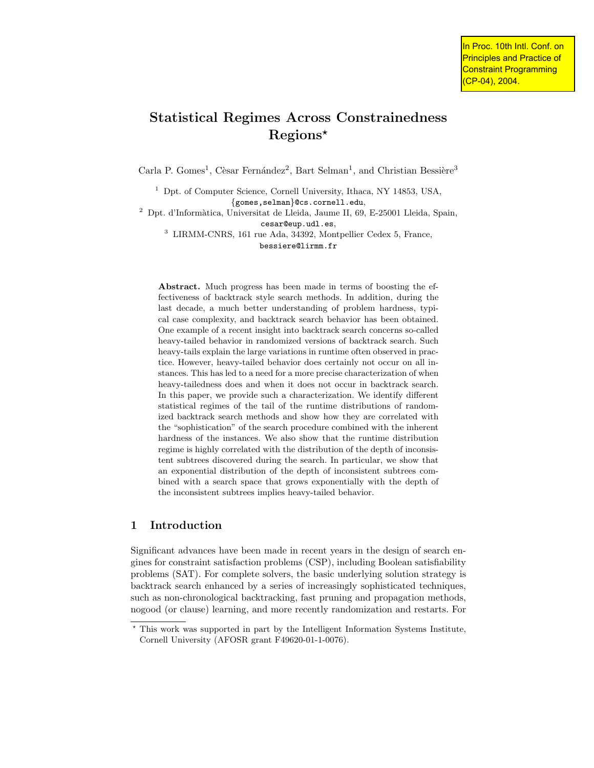# Statistical Regimes Across Constrainedness Regions?

Carla P. Gomes<sup>1</sup>, Cèsar Fernández<sup>2</sup>, Bart Selman<sup>1</sup>, and Christian Bessière<sup>3</sup>

<sup>1</sup> Dpt. of Computer Science, Cornell University, Ithaca, NY 14853, USA, {gomes,selman}@cs.cornell.edu,

 $^2\,$  Dpt. d'Informàtica, Universitat de Lleida, Jaume II, 69, E-25001 Lleida, Spain, cesar@eup.udl.es,

<sup>3</sup> LIRMM-CNRS, 161 rue Ada, 34392, Montpellier Cedex 5, France, bessiere@lirmm.fr

Abstract. Much progress has been made in terms of boosting the effectiveness of backtrack style search methods. In addition, during the last decade, a much better understanding of problem hardness, typical case complexity, and backtrack search behavior has been obtained. One example of a recent insight into backtrack search concerns so-called heavy-tailed behavior in randomized versions of backtrack search. Such heavy-tails explain the large variations in runtime often observed in practice. However, heavy-tailed behavior does certainly not occur on all instances. This has led to a need for a more precise characterization of when heavy-tailedness does and when it does not occur in backtrack search. In this paper, we provide such a characterization. We identify different statistical regimes of the tail of the runtime distributions of randomized backtrack search methods and show how they are correlated with the "sophistication" of the search procedure combined with the inherent hardness of the instances. We also show that the runtime distribution regime is highly correlated with the distribution of the depth of inconsistent subtrees discovered during the search. In particular, we show that an exponential distribution of the depth of inconsistent subtrees combined with a search space that grows exponentially with the depth of the inconsistent subtrees implies heavy-tailed behavior.

## 1 Introduction

Significant advances have been made in recent years in the design of search engines for constraint satisfaction problems (CSP), including Boolean satisfiability problems (SAT). For complete solvers, the basic underlying solution strategy is backtrack search enhanced by a series of increasingly sophisticated techniques, such as non-chronological backtracking, fast pruning and propagation methods, nogood (or clause) learning, and more recently randomization and restarts. For

<sup>?</sup> This work was supported in part by the Intelligent Information Systems Institute, Cornell University (AFOSR grant F49620-01-1-0076).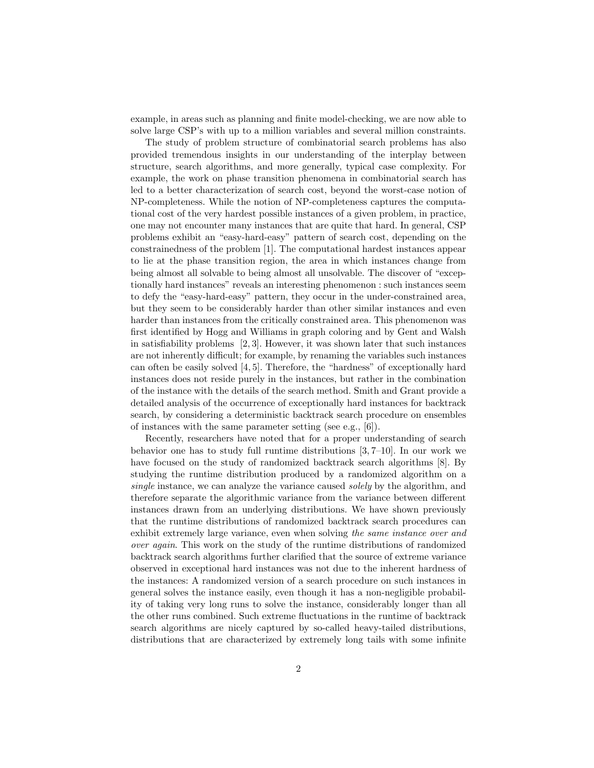example, in areas such as planning and finite model-checking, we are now able to solve large CSP's with up to a million variables and several million constraints.

The study of problem structure of combinatorial search problems has also provided tremendous insights in our understanding of the interplay between structure, search algorithms, and more generally, typical case complexity. For example, the work on phase transition phenomena in combinatorial search has led to a better characterization of search cost, beyond the worst-case notion of NP-completeness. While the notion of NP-completeness captures the computational cost of the very hardest possible instances of a given problem, in practice, one may not encounter many instances that are quite that hard. In general, CSP problems exhibit an "easy-hard-easy" pattern of search cost, depending on the constrainedness of the problem [1]. The computational hardest instances appear to lie at the phase transition region, the area in which instances change from being almost all solvable to being almost all unsolvable. The discover of "exceptionally hard instances" reveals an interesting phenomenon : such instances seem to defy the "easy-hard-easy" pattern, they occur in the under-constrained area, but they seem to be considerably harder than other similar instances and even harder than instances from the critically constrained area. This phenomenon was first identified by Hogg and Williams in graph coloring and by Gent and Walsh in satisfiability problems [2, 3]. However, it was shown later that such instances are not inherently difficult; for example, by renaming the variables such instances can often be easily solved [4, 5]. Therefore, the "hardness" of exceptionally hard instances does not reside purely in the instances, but rather in the combination of the instance with the details of the search method. Smith and Grant provide a detailed analysis of the occurrence of exceptionally hard instances for backtrack search, by considering a deterministic backtrack search procedure on ensembles of instances with the same parameter setting (see e.g., [6]).

Recently, researchers have noted that for a proper understanding of search behavior one has to study full runtime distributions [3, 7–10]. In our work we have focused on the study of randomized backtrack search algorithms [8]. By studying the runtime distribution produced by a randomized algorithm on a single instance, we can analyze the variance caused solely by the algorithm, and therefore separate the algorithmic variance from the variance between different instances drawn from an underlying distributions. We have shown previously that the runtime distributions of randomized backtrack search procedures can exhibit extremely large variance, even when solving the same instance over and over again. This work on the study of the runtime distributions of randomized backtrack search algorithms further clarified that the source of extreme variance observed in exceptional hard instances was not due to the inherent hardness of the instances: A randomized version of a search procedure on such instances in general solves the instance easily, even though it has a non-negligible probability of taking very long runs to solve the instance, considerably longer than all the other runs combined. Such extreme fluctuations in the runtime of backtrack search algorithms are nicely captured by so-called heavy-tailed distributions, distributions that are characterized by extremely long tails with some infinite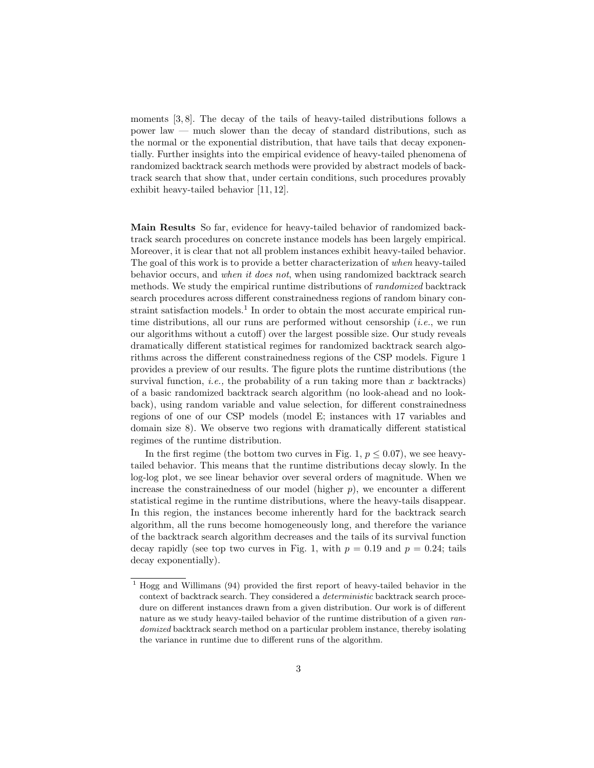moments [3, 8]. The decay of the tails of heavy-tailed distributions follows a power law — much slower than the decay of standard distributions, such as the normal or the exponential distribution, that have tails that decay exponentially. Further insights into the empirical evidence of heavy-tailed phenomena of randomized backtrack search methods were provided by abstract models of backtrack search that show that, under certain conditions, such procedures provably exhibit heavy-tailed behavior [11, 12].

Main Results So far, evidence for heavy-tailed behavior of randomized backtrack search procedures on concrete instance models has been largely empirical. Moreover, it is clear that not all problem instances exhibit heavy-tailed behavior. The goal of this work is to provide a better characterization of when heavy-tailed behavior occurs, and when it does not, when using randomized backtrack search methods. We study the empirical runtime distributions of randomized backtrack search procedures across different constrainedness regions of random binary constraint satisfaction models.<sup>1</sup> In order to obtain the most accurate empirical runtime distributions, all our runs are performed without censorship  $(i.e.,$  we run our algorithms without a cutoff) over the largest possible size. Our study reveals dramatically different statistical regimes for randomized backtrack search algorithms across the different constrainedness regions of the CSP models. Figure 1 provides a preview of our results. The figure plots the runtime distributions (the survival function, *i.e.*, the probability of a run taking more than x backtracks) of a basic randomized backtrack search algorithm (no look-ahead and no lookback), using random variable and value selection, for different constrainedness regions of one of our CSP models (model E; instances with 17 variables and domain size 8). We observe two regions with dramatically different statistical regimes of the runtime distribution.

In the first regime (the bottom two curves in Fig. 1,  $p \leq 0.07$ ), we see heavytailed behavior. This means that the runtime distributions decay slowly. In the log-log plot, we see linear behavior over several orders of magnitude. When we increase the constrainedness of our model (higher  $p$ ), we encounter a different statistical regime in the runtime distributions, where the heavy-tails disappear. In this region, the instances become inherently hard for the backtrack search algorithm, all the runs become homogeneously long, and therefore the variance of the backtrack search algorithm decreases and the tails of its survival function decay rapidly (see top two curves in Fig. 1, with  $p = 0.19$  and  $p = 0.24$ ; tails decay exponentially).

<sup>1</sup> Hogg and Willimans (94) provided the first report of heavy-tailed behavior in the context of backtrack search. They considered a deterministic backtrack search procedure on different instances drawn from a given distribution. Our work is of different nature as we study heavy-tailed behavior of the runtime distribution of a given randomized backtrack search method on a particular problem instance, thereby isolating the variance in runtime due to different runs of the algorithm.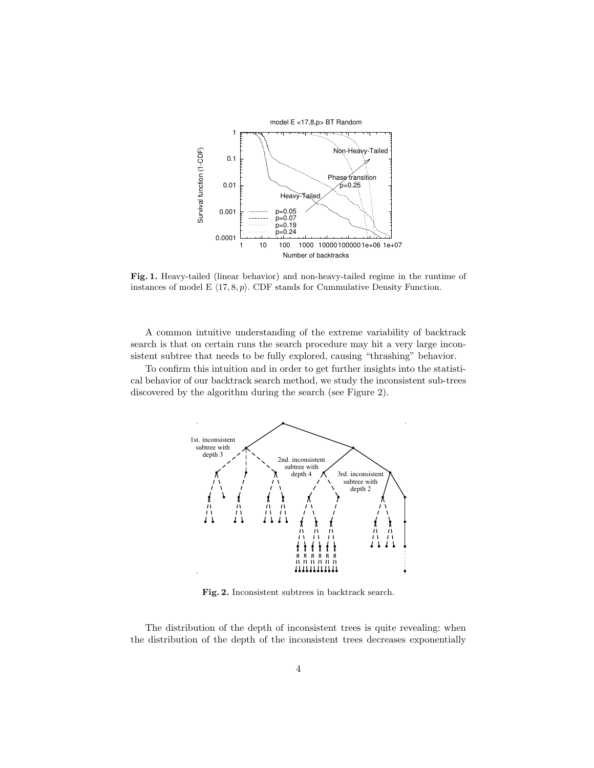

Fig. 1. Heavy-tailed (linear behavior) and non-heavy-tailed regime in the runtime of instances of model E  $\langle 17, 8, p \rangle$ . CDF stands for Cummulative Density Function.

A common intuitive understanding of the extreme variability of backtrack search is that on certain runs the search procedure may hit a very large inconsistent subtree that needs to be fully explored, causing "thrashing" behavior.

To confirm this intuition and in order to get further insights into the statistical behavior of our backtrack search method, we study the inconsistent sub-trees discovered by the algorithm during the search (see Figure 2).



Fig. 2. Inconsistent subtrees in backtrack search.

The distribution of the depth of inconsistent trees is quite revealing: when the distribution of the depth of the inconsistent trees decreases exponentially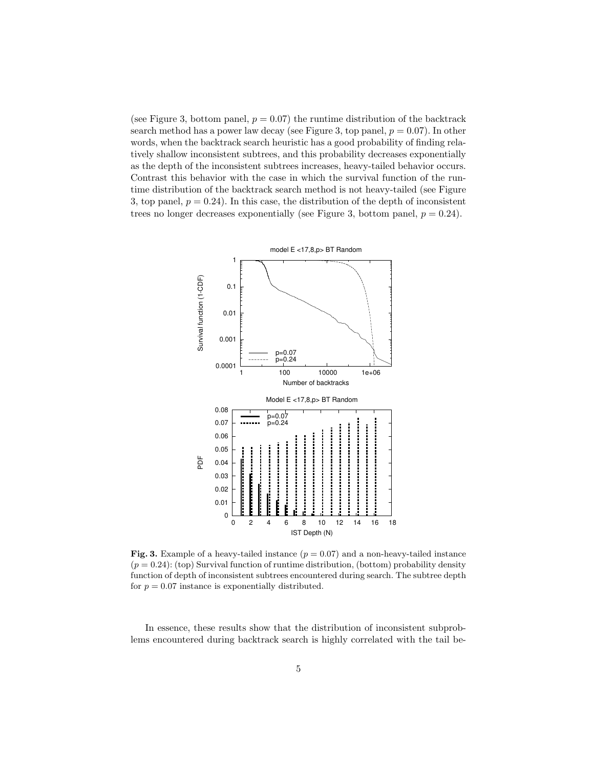(see Figure 3, bottom panel,  $p = 0.07$ ) the runtime distribution of the backtrack search method has a power law decay (see Figure 3, top panel,  $p = 0.07$ ). In other words, when the backtrack search heuristic has a good probability of finding relatively shallow inconsistent subtrees, and this probability decreases exponentially as the depth of the inconsistent subtrees increases, heavy-tailed behavior occurs. Contrast this behavior with the case in which the survival function of the runtime distribution of the backtrack search method is not heavy-tailed (see Figure 3, top panel,  $p = 0.24$ ). In this case, the distribution of the depth of inconsistent trees no longer decreases exponentially (see Figure 3, bottom panel,  $p = 0.24$ ).



Fig. 3. Example of a heavy-tailed instance  $(p = 0.07)$  and a non-heavy-tailed instance  $(p = 0.24)$ : (top) Survival function of runtime distribution, (bottom) probability density function of depth of inconsistent subtrees encountered during search. The subtree depth for  $p = 0.07$  instance is exponentially distributed.

In essence, these results show that the distribution of inconsistent subproblems encountered during backtrack search is highly correlated with the tail be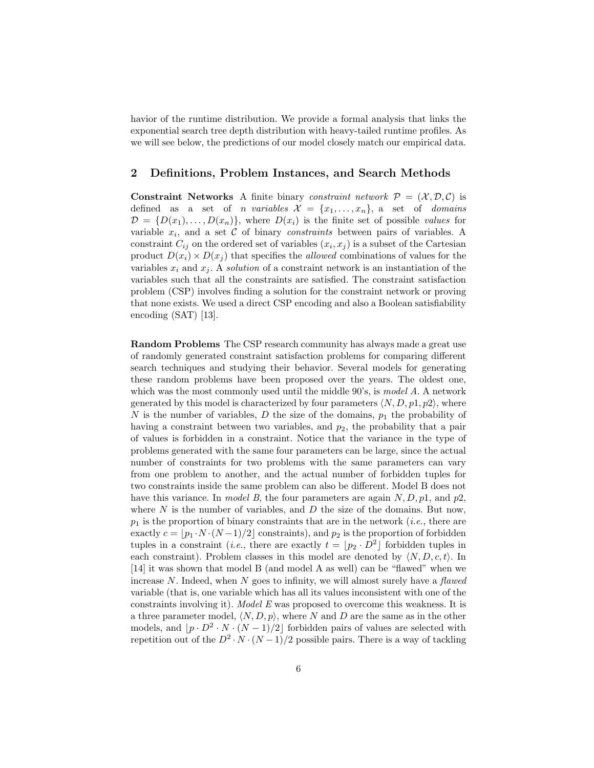havior of the runtime distribution. We provide a formal analysis that links the exponential search tree depth distribution with heavy-tailed runtime profiles. As we will see below, the predictions of our model closely match our empirical data.

#### 2 Definitions, Problem Instances, and Search Methods

**Constraint Networks** A finite binary constraint network  $\mathcal{P} = (\mathcal{X}, \mathcal{D}, \mathcal{C})$  is defined as a set of *n variables*  $\mathcal{X} = \{x_1, \ldots, x_n\}$ , a set of *domains*  $\mathcal{D} = \{D(x_1), \ldots, D(x_n)\}\$ , where  $D(x_i)$  is the finite set of possible values for variable  $x_i$ , and a set C of binary constraints between pairs of variables. A constraint  $C_{ij}$  on the ordered set of variables  $(x_i, x_j)$  is a subset of the Cartesian product  $D(x_i) \times D(x_j)$  that specifies the *allowed* combinations of values for the variables  $x_i$  and  $x_j$ . A solution of a constraint network is an instantiation of the variables such that all the constraints are satisfied. The constraint satisfaction problem (CSP) involves finding a solution for the constraint network or proving that none exists. We used a direct CSP encoding and also a Boolean satisfiability encoding (SAT) [13].

Random Problems The CSP research community has always made a great use of randomly generated constraint satisfaction problems for comparing different search techniques and studying their behavior. Several models for generating these random problems have been proposed over the years. The oldest one, which was the most commonly used until the middle  $90$ 's, is model A. A network generated by this model is characterized by four parameters  $\langle N, D, p1, p2 \rangle$ , where N is the number of variables, D the size of the domains,  $p_1$  the probability of having a constraint between two variables, and  $p_2$ , the probability that a pair of values is forbidden in a constraint. Notice that the variance in the type of problems generated with the same four parameters can be large, since the actual number of constraints for two problems with the same parameters can vary from one problem to another, and the actual number of forbidden tuples for two constraints inside the same problem can also be different. Model B does not have this variance. In model B, the four parameters are again  $N, D, p1$ , and  $p2$ , where  $N$  is the number of variables, and  $D$  the size of the domains. But now,  $p_1$  is the proportion of binary constraints that are in the network (*i.e.*, there are exactly  $c = |p_1 \cdot N \cdot (N-1)/2|$  constraints), and  $p_2$  is the proportion of forbidden tuples in a constraint (*i.e.*, there are exactly  $t = \lfloor p_2 \cdot D^2 \rfloor$  forbidden tuples in each constraint). Problem classes in this model are denoted by  $\langle N, D, c, t \rangle$ . In [14] it was shown that model B (and model A as well) can be "flawed" when we increase  $N$ . Indeed, when  $N$  goes to infinity, we will almost surely have a *flawed* variable (that is, one variable which has all its values inconsistent with one of the constraints involving it). Model E was proposed to overcome this weakness. It is a three parameter model,  $\langle N, D, p \rangle$ , where N and D are the same as in the other models, and  $\lfloor p \cdot D^2 \cdot N \cdot (N-1)/2 \rfloor$  forbidden pairs of values are selected with repetition out of the  $D^2 \cdot N \cdot (N-1)/2$  possible pairs. There is a way of tackling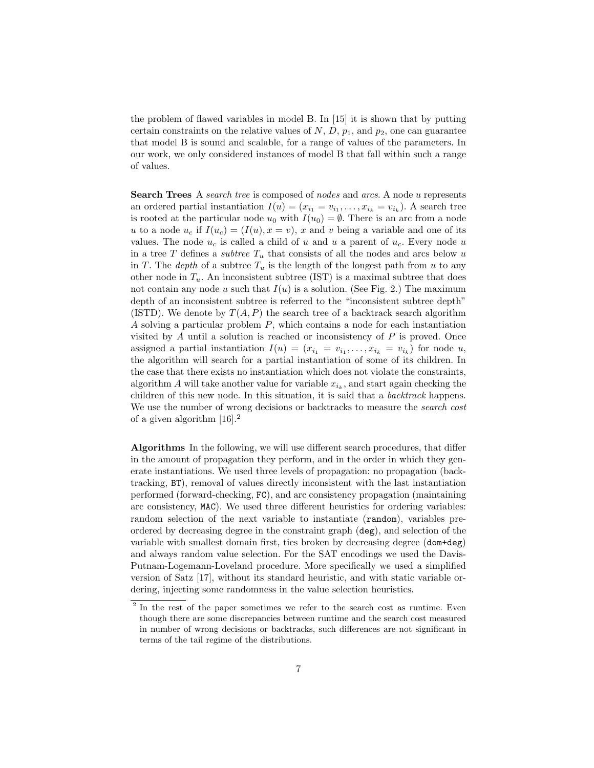the problem of flawed variables in model B. In [15] it is shown that by putting certain constraints on the relative values of  $N$ ,  $D$ ,  $p_1$ , and  $p_2$ , one can guarantee that model B is sound and scalable, for a range of values of the parameters. In our work, we only considered instances of model B that fall within such a range of values.

Search Trees A *search tree* is composed of *nodes* and *arcs*. A node u represents an ordered partial instantiation  $I(u) = (x_{i_1} = v_{i_1}, \ldots, x_{i_k} = v_{i_k})$ . A search tree is rooted at the particular node  $u_0$  with  $I(u_0) = \emptyset$ . There is an arc from a node u to a node  $u_c$  if  $I(u_c) = (I(u), x = v)$ , x and v being a variable and one of its values. The node  $u_c$  is called a child of u and u a parent of  $u_c$ . Every node u in a tree T defines a *subtree*  $T_u$  that consists of all the nodes and arcs below u in T. The depth of a subtree  $T_u$  is the length of the longest path from u to any other node in  $T_u$ . An inconsistent subtree (IST) is a maximal subtree that does not contain any node u such that  $I(u)$  is a solution. (See Fig. 2.) The maximum depth of an inconsistent subtree is referred to the "inconsistent subtree depth" (ISTD). We denote by  $T(A, P)$  the search tree of a backtrack search algorithm A solving a particular problem P, which contains a node for each instantiation visited by  $A$  until a solution is reached or inconsistency of  $P$  is proved. Once assigned a partial instantiation  $I(u) = (x_{i_1} = v_{i_1}, \ldots, x_{i_k} = v_{i_k})$  for node u, the algorithm will search for a partial instantiation of some of its children. In the case that there exists no instantiation which does not violate the constraints, algorithm A will take another value for variable  $x_{i_k}$ , and start again checking the children of this new node. In this situation, it is said that a *backtrack* happens. We use the number of wrong decisions or backtracks to measure the *search cost* of a given algorithm  $[16]$ <sup>2</sup>

Algorithms In the following, we will use different search procedures, that differ in the amount of propagation they perform, and in the order in which they generate instantiations. We used three levels of propagation: no propagation (backtracking, BT), removal of values directly inconsistent with the last instantiation performed (forward-checking, FC), and arc consistency propagation (maintaining arc consistency, MAC). We used three different heuristics for ordering variables: random selection of the next variable to instantiate (**random**), variables preordered by decreasing degree in the constraint graph (deg), and selection of the variable with smallest domain first, ties broken by decreasing degree (dom+deg) and always random value selection. For the SAT encodings we used the Davis-Putnam-Logemann-Loveland procedure. More specifically we used a simplified version of Satz [17], without its standard heuristic, and with static variable ordering, injecting some randomness in the value selection heuristics.

<sup>&</sup>lt;sup>2</sup> In the rest of the paper sometimes we refer to the search cost as runtime. Even though there are some discrepancies between runtime and the search cost measured in number of wrong decisions or backtracks, such differences are not significant in terms of the tail regime of the distributions.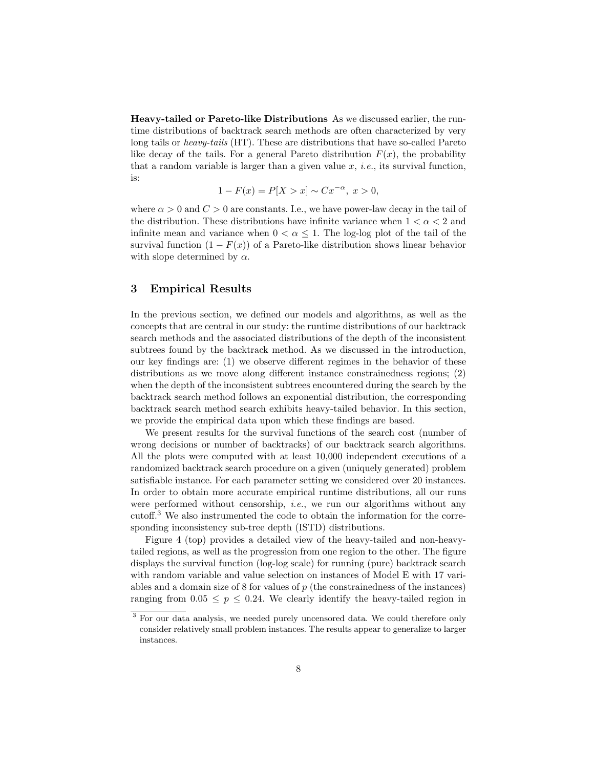Heavy-tailed or Pareto-like Distributions As we discussed earlier, the runtime distributions of backtrack search methods are often characterized by very long tails or *heavy-tails* (HT). These are distributions that have so-called Pareto like decay of the tails. For a general Pareto distribution  $F(x)$ , the probability that a random variable is larger than a given value  $x$ , *i.e.*, its survival function, is:

$$
1 - F(x) = P[X > x] \sim C x^{-\alpha}, \ x > 0,
$$

where  $\alpha > 0$  and  $C > 0$  are constants. I.e., we have power-law decay in the tail of the distribution. These distributions have infinite variance when  $1 < \alpha < 2$  and infinite mean and variance when  $0 < \alpha \leq 1$ . The log-log plot of the tail of the survival function  $(1 - F(x))$  of a Pareto-like distribution shows linear behavior with slope determined by  $\alpha$ .

### 3 Empirical Results

In the previous section, we defined our models and algorithms, as well as the concepts that are central in our study: the runtime distributions of our backtrack search methods and the associated distributions of the depth of the inconsistent subtrees found by the backtrack method. As we discussed in the introduction, our key findings are: (1) we observe different regimes in the behavior of these distributions as we move along different instance constrainedness regions; (2) when the depth of the inconsistent subtrees encountered during the search by the backtrack search method follows an exponential distribution, the corresponding backtrack search method search exhibits heavy-tailed behavior. In this section, we provide the empirical data upon which these findings are based.

We present results for the survival functions of the search cost (number of wrong decisions or number of backtracks) of our backtrack search algorithms. All the plots were computed with at least 10,000 independent executions of a randomized backtrack search procedure on a given (uniquely generated) problem satisfiable instance. For each parameter setting we considered over 20 instances. In order to obtain more accurate empirical runtime distributions, all our runs were performed without censorship, *i.e.*, we run our algorithms without any cutoff.<sup>3</sup> We also instrumented the code to obtain the information for the corresponding inconsistency sub-tree depth (ISTD) distributions.

Figure 4 (top) provides a detailed view of the heavy-tailed and non-heavytailed regions, as well as the progression from one region to the other. The figure displays the survival function (log-log scale) for running (pure) backtrack search with random variable and value selection on instances of Model E with 17 variables and a domain size of  $8$  for values of  $p$  (the constrainedness of the instances) ranging from  $0.05 \leq p \leq 0.24$ . We clearly identify the heavy-tailed region in

<sup>&</sup>lt;sup>3</sup> For our data analysis, we needed purely uncensored data. We could therefore only consider relatively small problem instances. The results appear to generalize to larger instances.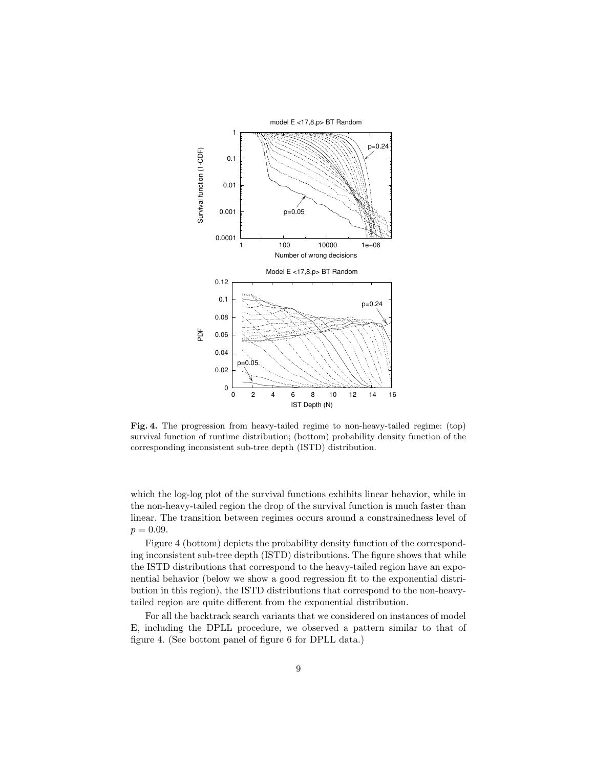

Fig. 4. The progression from heavy-tailed regime to non-heavy-tailed regime: (top) survival function of runtime distribution; (bottom) probability density function of the corresponding inconsistent sub-tree depth (ISTD) distribution.

which the log-log plot of the survival functions exhibits linear behavior, while in the non-heavy-tailed region the drop of the survival function is much faster than linear. The transition between regimes occurs around a constrainedness level of  $p = 0.09$ .

Figure 4 (bottom) depicts the probability density function of the corresponding inconsistent sub-tree depth (ISTD) distributions. The figure shows that while the ISTD distributions that correspond to the heavy-tailed region have an exponential behavior (below we show a good regression fit to the exponential distribution in this region), the ISTD distributions that correspond to the non-heavytailed region are quite different from the exponential distribution.

For all the backtrack search variants that we considered on instances of model E, including the DPLL procedure, we observed a pattern similar to that of figure 4. (See bottom panel of figure 6 for DPLL data.)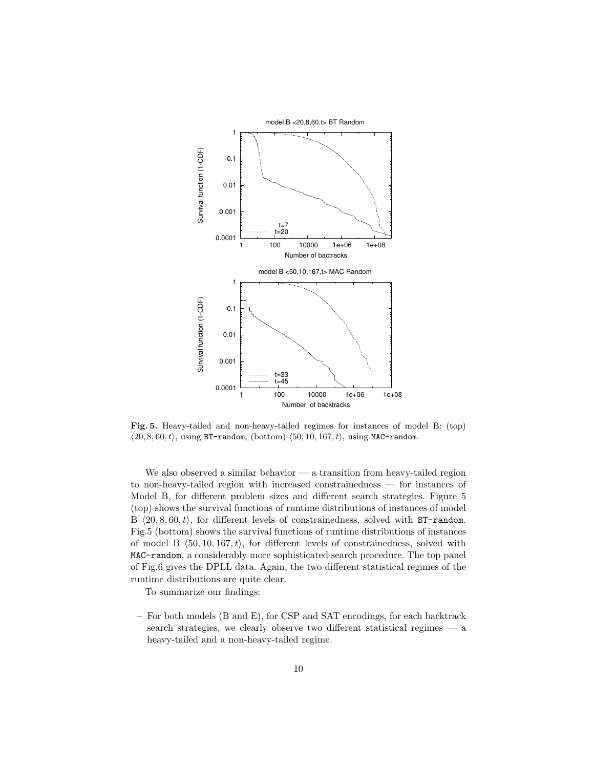

Fig. 5. Heavy-tailed and non-heavy-tailed regimes for instances of model B: (top)  $\langle 20, 8, 60, t \rangle$ , using BT-random, (bottom)  $\langle 50, 10, 167, t \rangle$ , using MAC-random.

We also observed a similar behavior — a transition from heavy-tailed region to non-heavy-tailed region with increased constrainedness — for instances of Model B, for different problem sizes and different search strategies. Figure 5 (top) shows the survival functions of runtime distributions of instances of model B  $\langle 20, 8, 60, t \rangle$ , for different levels of constrainedness, solved with BT-random. Fig.5 (bottom) shows the survival functions of runtime distributions of instances of model B  $\langle 50, 10, 167, t \rangle$ , for different levels of constrainedness, solved with MAC-random, a considerably more sophisticated search procedure. The top panel of Fig.6 gives the DPLL data. Again, the two different statistical regimes of the runtime distributions are quite clear.

To summarize our findings:

– For both models (B and E), for CSP and SAT encodings, for each backtrack search strategies, we clearly observe two different statistical regimes — a heavy-tailed and a non-heavy-tailed regime.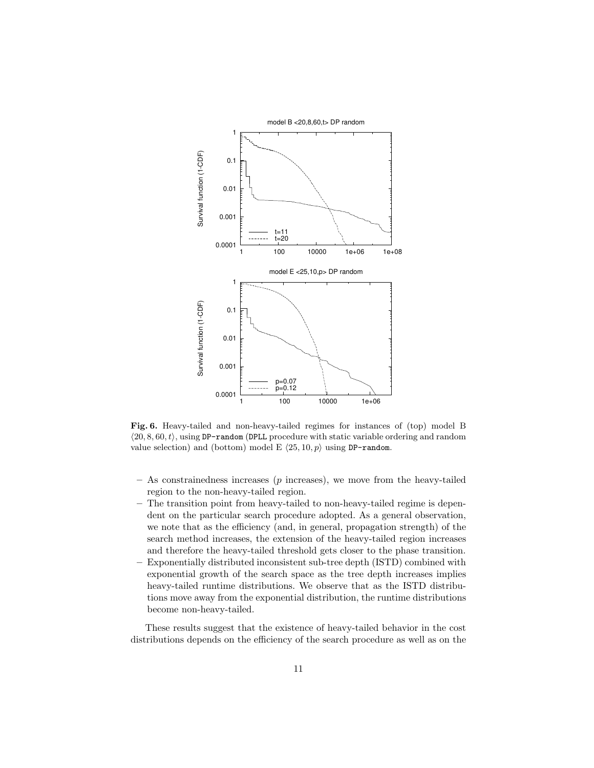

Fig. 6. Heavy-tailed and non-heavy-tailed regimes for instances of (top) model B  $\langle 20, 8, 60, t \rangle$ , using DP-random (DPLL procedure with static variable ordering and random value selection) and (bottom) model E  $\langle 25, 10, p \rangle$  using DP-random.

- $-$  As constrainedness increases ( $p$  increases), we move from the heavy-tailed region to the non-heavy-tailed region.
- The transition point from heavy-tailed to non-heavy-tailed regime is dependent on the particular search procedure adopted. As a general observation, we note that as the efficiency (and, in general, propagation strength) of the search method increases, the extension of the heavy-tailed region increases and therefore the heavy-tailed threshold gets closer to the phase transition.
- Exponentially distributed inconsistent sub-tree depth (ISTD) combined with exponential growth of the search space as the tree depth increases implies heavy-tailed runtime distributions. We observe that as the ISTD distributions move away from the exponential distribution, the runtime distributions become non-heavy-tailed.

These results suggest that the existence of heavy-tailed behavior in the cost distributions depends on the efficiency of the search procedure as well as on the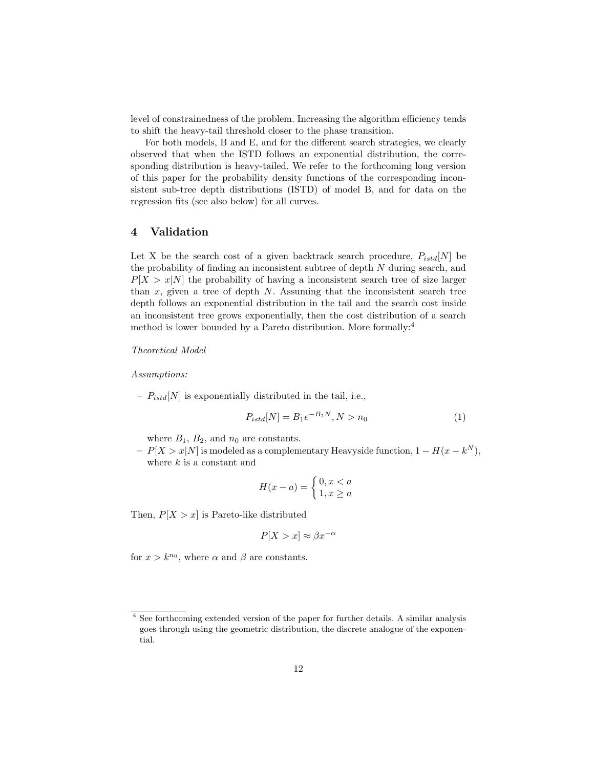level of constrainedness of the problem. Increasing the algorithm efficiency tends to shift the heavy-tail threshold closer to the phase transition.

For both models, B and E, and for the different search strategies, we clearly observed that when the ISTD follows an exponential distribution, the corresponding distribution is heavy-tailed. We refer to the forthcoming long version of this paper for the probability density functions of the corresponding inconsistent sub-tree depth distributions (ISTD) of model B, and for data on the regression fits (see also below) for all curves.

#### 4 Validation

Let X be the search cost of a given backtrack search procedure,  $P_{i, std}[N]$  be the probability of finding an inconsistent subtree of depth N during search, and  $P[X > x|N]$  the probability of having a inconsistent search tree of size larger than  $x$ , given a tree of depth  $N$ . Assuming that the inconsistent search tree depth follows an exponential distribution in the tail and the search cost inside an inconsistent tree grows exponentially, then the cost distribution of a search method is lower bounded by a Pareto distribution. More formally:<sup>4</sup>

#### Theoretical Model

Assumptions:

 $- P_{i, std}[N]$  is exponentially distributed in the tail, i.e.,

$$
P_{istd}[N] = B_1 e^{-B_2 N}, N > n_0 \tag{1}
$$

where  $B_1$ ,  $B_2$ , and  $n_0$  are constants.

 $-P[X > x|N]$  is modeled as a complementary Heavyside function,  $1 - H(x - k^N)$ , where  $k$  is a constant and

$$
H(x-a) = \begin{cases} 0, x < a \\ 1, x \ge a \end{cases}
$$

Then,  $P[X > x]$  is Pareto-like distributed

$$
P[X > x] \approx \beta x^{-\alpha}
$$

for  $x > k^{n_0}$ , where  $\alpha$  and  $\beta$  are constants.

<sup>4</sup> See forthcoming extended version of the paper for further details. A similar analysis goes through using the geometric distribution, the discrete analogue of the exponential.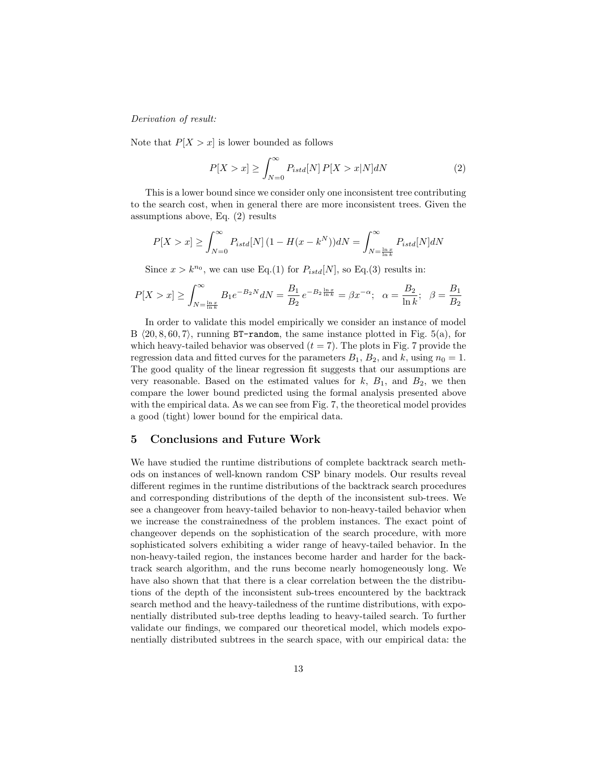Derivation of result:

Note that  $P[X > x]$  is lower bounded as follows

$$
P[X > x] \ge \int_{N=0}^{\infty} P_{istd}[N] P[X > x | N] dN \tag{2}
$$

This is a lower bound since we consider only one inconsistent tree contributing to the search cost, when in general there are more inconsistent trees. Given the assumptions above, Eq. (2) results

$$
P[X > x] \ge \int_{N=0}^{\infty} P_{istd}[N] (1 - H(x - k^N))dN = \int_{N = \frac{\ln x}{\ln k}}^{\infty} P_{istd}[N]dN
$$

Since  $x > k^{n_0}$ , we can use Eq.(1) for  $P_{i, std}[N]$ , so Eq.(3) results in:

$$
P[X > x] \ge \int_{N = \frac{\ln x}{\ln k}}^{\infty} B_1 e^{-B_2 N} dN = \frac{B_1}{B_2} e^{-B_2 \frac{\ln x}{\ln k}} = \beta x^{-\alpha}; \quad \alpha = \frac{B_2}{\ln k}; \quad \beta = \frac{B_1}{B_2}
$$

In order to validate this model empirically we consider an instance of model B  $\langle 20, 8, 60, 7 \rangle$ , running BT-random, the same instance plotted in Fig. 5(a), for which heavy-tailed behavior was observed  $(t = 7)$ . The plots in Fig. 7 provide the regression data and fitted curves for the parameters  $B_1, B_2$ , and k, using  $n_0 = 1$ . The good quality of the linear regression fit suggests that our assumptions are very reasonable. Based on the estimated values for  $k$ ,  $B_1$ , and  $B_2$ , we then compare the lower bound predicted using the formal analysis presented above with the empirical data. As we can see from Fig. 7, the theoretical model provides a good (tight) lower bound for the empirical data.

#### 5 Conclusions and Future Work

We have studied the runtime distributions of complete backtrack search methods on instances of well-known random CSP binary models. Our results reveal different regimes in the runtime distributions of the backtrack search procedures and corresponding distributions of the depth of the inconsistent sub-trees. We see a changeover from heavy-tailed behavior to non-heavy-tailed behavior when we increase the constrainedness of the problem instances. The exact point of changeover depends on the sophistication of the search procedure, with more sophisticated solvers exhibiting a wider range of heavy-tailed behavior. In the non-heavy-tailed region, the instances become harder and harder for the backtrack search algorithm, and the runs become nearly homogeneously long. We have also shown that that there is a clear correlation between the the distributions of the depth of the inconsistent sub-trees encountered by the backtrack search method and the heavy-tailedness of the runtime distributions, with exponentially distributed sub-tree depths leading to heavy-tailed search. To further validate our findings, we compared our theoretical model, which models exponentially distributed subtrees in the search space, with our empirical data: the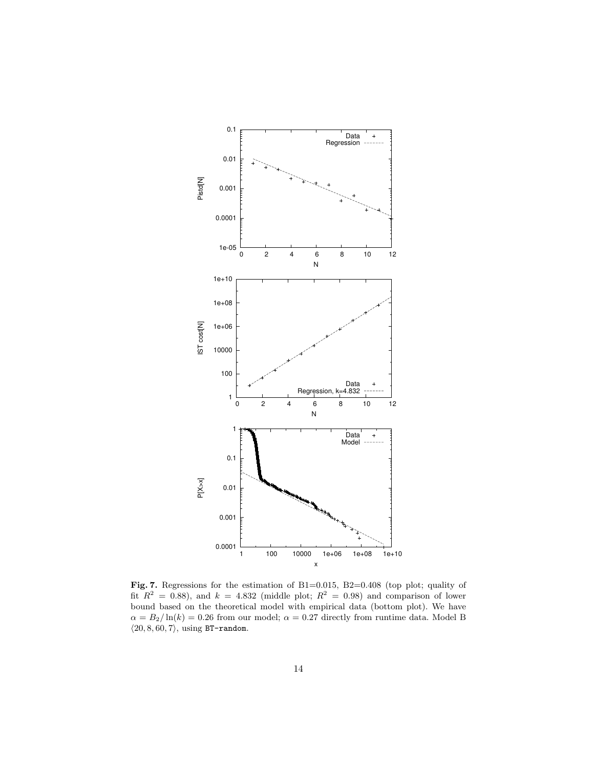

Fig. 7. Regressions for the estimation of B1=0.015, B2=0.408 (top plot; quality of fit  $R^2 = 0.88$ ), and  $k = 4.832$  (middle plot;  $R^2 = 0.98$ ) and comparison of lower bound based on the theoretical model with empirical data (bottom plot). We have  $\alpha = B_2/\ln(k) = 0.26$  from our model;  $\alpha = 0.27$  directly from runtime data. Model B  $\langle 20, 8, 60, 7 \rangle$ , using BT-random.